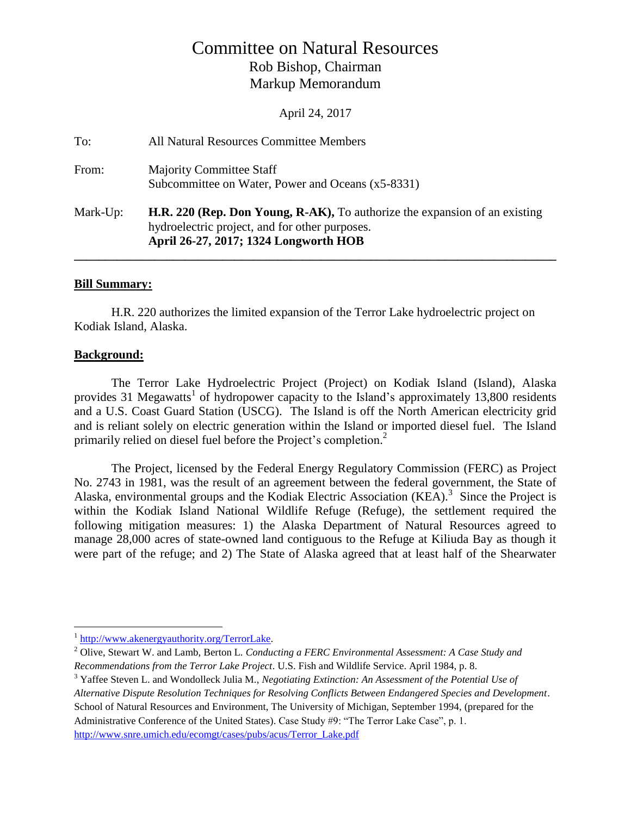# Committee on Natural Resources Rob Bishop, Chairman Markup Memorandum

April 24, 2017

| To:      | All Natural Resources Committee Members                                                                                                                               |
|----------|-----------------------------------------------------------------------------------------------------------------------------------------------------------------------|
| From:    | <b>Majority Committee Staff</b><br>Subcommittee on Water, Power and Oceans (x5-8331)                                                                                  |
| Mark-Up: | H.R. 220 (Rep. Don Young, R-AK), To authorize the expansion of an existing<br>hydroelectric project, and for other purposes.<br>April 26-27, 2017; 1324 Longworth HOB |

#### **Bill Summary:**

H.R. 220 authorizes the limited expansion of the Terror Lake hydroelectric project on Kodiak Island, Alaska.

## **Background:**

The Terror Lake Hydroelectric Project (Project) on Kodiak Island (Island), Alaska provides 31 Megawatts<sup>1</sup> of hydropower capacity to the Island's approximately 13,800 residents and a U.S. Coast Guard Station (USCG). The Island is off the North American electricity grid and is reliant solely on electric generation within the Island or imported diesel fuel. The Island primarily relied on diesel fuel before the Project's completion. 2

The Project, licensed by the Federal Energy Regulatory Commission (FERC) as Project No. 2743 in 1981, was the result of an agreement between the federal government, the State of Alaska, environmental groups and the Kodiak Electric Association (KEA).<sup>3</sup> Since the Project is within the Kodiak Island National Wildlife Refuge (Refuge), the settlement required the following mitigation measures: 1) the Alaska Department of Natural Resources agreed to manage 28,000 acres of state-owned land contiguous to the Refuge at Kiliuda Bay as though it were part of the refuge; and 2) The State of Alaska agreed that at least half of the Shearwater

<sup>&</sup>lt;sup>1</sup> [http://www.akenergyauthority.org/TerrorLake.](http://www.akenergyauthority.org/TerrorLake)

<sup>2</sup> Olive, Stewart W. and Lamb, Berton L. *Conducting a FERC Environmental Assessment: A Case Study and Recommendations from the Terror Lake Project*. U.S. Fish and Wildlife Service. April 1984, p. 8.

<sup>3</sup> Yaffee Steven L. and Wondolleck Julia M., *Negotiating Extinction: An Assessment of the Potential Use of Alternative Dispute Resolution Techniques for Resolving Conflicts Between Endangered Species and Development*. School of Natural Resources and Environment, The University of Michigan, September 1994, (prepared for the Administrative Conference of the United States). Case Study #9: "The Terror Lake Case", p. 1. [http://www.snre.umich.edu/ecomgt/cases/pubs/acus/Terror\\_Lake.pdf](http://www.snre.umich.edu/ecomgt/cases/pubs/acus/Terror_Lake.pdf)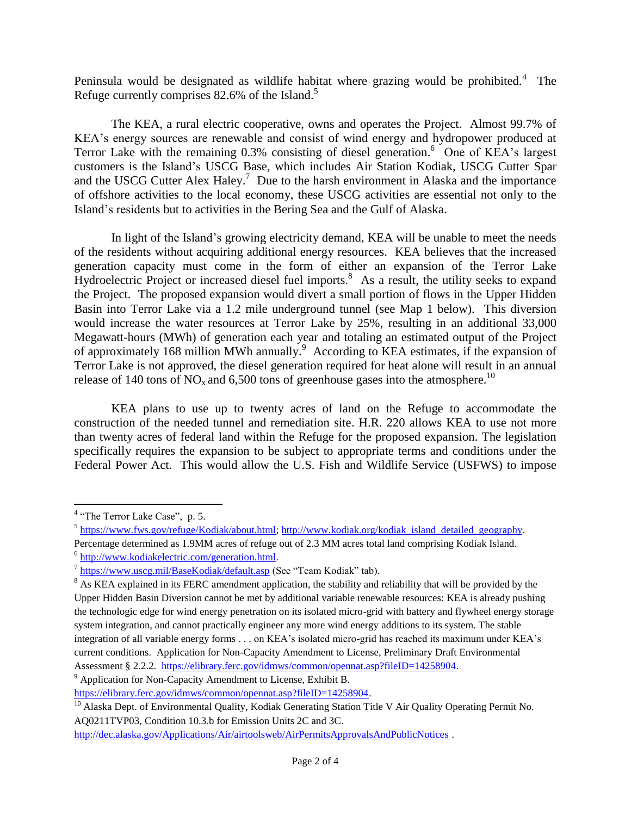Peninsula would be designated as wildlife habitat where grazing would be prohibited.<sup>4</sup> The Refuge currently comprises  $82.6\%$  of the Island.<sup>5</sup>

The KEA, a rural electric cooperative, owns and operates the Project. Almost 99.7% of KEA's energy sources are renewable and consist of wind energy and hydropower produced at Terror Lake with the remaining 0.3% consisting of diesel generation.<sup>6</sup> One of KEA's largest customers is the Island's USCG Base, which includes Air Station Kodiak, USCG Cutter Spar and the USCG Cutter Alex Haley.<sup>7</sup> Due to the harsh environment in Alaska and the importance of offshore activities to the local economy, these USCG activities are essential not only to the Island's residents but to activities in the Bering Sea and the Gulf of Alaska.

In light of the Island's growing electricity demand, KEA will be unable to meet the needs of the residents without acquiring additional energy resources. KEA believes that the increased generation capacity must come in the form of either an expansion of the Terror Lake Hydroelectric Project or increased diesel fuel imports.<sup>8</sup> As a result, the utility seeks to expand the Project. The proposed expansion would divert a small portion of flows in the Upper Hidden Basin into Terror Lake via a 1.2 mile underground tunnel (see Map 1 below). This diversion would increase the water resources at Terror Lake by 25%, resulting in an additional 33,000 Megawatt-hours (MWh) of generation each year and totaling an estimated output of the Project of approximately 168 million MWh annually.<sup>9</sup> According to KEA estimates, if the expansion of Terror Lake is not approved, the diesel generation required for heat alone will result in an annual release of 140 tons of  $\overline{NO_x}$  and 6,500 tons of greenhouse gases into the atmosphere.<sup>10</sup>

KEA plans to use up to twenty acres of land on the Refuge to accommodate the construction of the needed tunnel and remediation site. H.R. 220 allows KEA to use not more than twenty acres of federal land within the Refuge for the proposed expansion. The legislation specifically requires the expansion to be subject to appropriate terms and conditions under the Federal Power Act. This would allow the U.S. Fish and Wildlife Service (USFWS) to impose

 $\overline{a}$ 

<sup>&</sup>lt;sup>4</sup> "The Terror Lake Case", p. 5.

<sup>&</sup>lt;sup>5</sup> [https://www.fws.gov/refuge/Kodiak/about.html;](https://www.fws.gov/refuge/Kodiak/about.html) [http://www.kodiak.org/kodiak\\_island\\_detailed\\_geography.](http://www.kodiak.org/kodiak_island_detailed_geography)

Percentage determined as 1.9MM acres of refuge out of 2.3 MM acres total land comprising Kodiak Island. <sup>6</sup> [http://www.kodiakelectric.com/generation.html.](http://www.kodiakelectric.com/generation.html)

<sup>&</sup>lt;sup>7</sup> <https://www.uscg.mil/BaseKodiak/default.asp> (See "Team Kodiak" tab).

<sup>&</sup>lt;sup>8</sup> As KEA explained in its FERC amendment application, the stability and reliability that will be provided by the Upper Hidden Basin Diversion cannot be met by additional variable renewable resources: KEA is already pushing the technologic edge for wind energy penetration on its isolated micro-grid with battery and flywheel energy storage system integration, and cannot practically engineer any more wind energy additions to its system. The stable integration of all variable energy forms . . . on KEA's isolated micro-grid has reached its maximum under KEA's current conditions. Application for Non-Capacity Amendment to License, Preliminary Draft Environmental Assessment § 2.2.2. [https://elibrary.ferc.gov/idmws/common/opennat.asp?fileID=14258904.](https://elibrary.ferc.gov/idmws/common/opennat.asp?fileID=14258904) <sup>9</sup> Application for Non-Capacity Amendment to License, Exhibit B.

[https://elibrary.ferc.gov/idmws/common/opennat.asp?fileID=14258904.](https://elibrary.ferc.gov/idmws/common/opennat.asp?fileID=14258904)

<sup>&</sup>lt;sup>10</sup> Alaska Dept. of Environmental Quality, Kodiak Generating Station Title V Air Quality Operating Permit No. AQ0211TVP03, Condition 10.3.b for Emission Units 2C and 3C.

<http://dec.alaska.gov/Applications/Air/airtoolsweb/AirPermitsApprovalsAndPublicNotices> .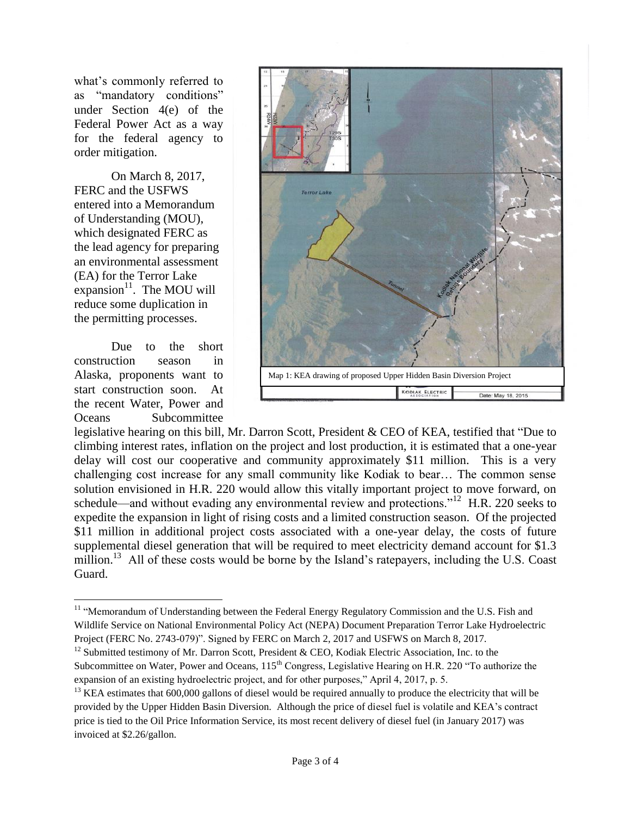what's commonly referred to as "mandatory conditions" under Section 4(e) of the Federal Power Act as a way for the federal agency to order mitigation.

On March 8, 2017, FERC and the USFWS entered into a Memorandum of Understanding (MOU), which designated FERC as the lead agency for preparing an environmental assessment (EA) for the Terror Lake expansion $11$ . The MOU will reduce some duplication in the permitting processes.

Due to the short construction season in Alaska, proponents want to start construction soon. At the recent Water, Power and Oceans Subcommittee



legislative hearing on this bill, Mr. Darron Scott, President & CEO of KEA, testified that "Due to climbing interest rates, inflation on the project and lost production, it is estimated that a one-year delay will cost our cooperative and community approximately \$11 million. This is a very challenging cost increase for any small community like Kodiak to bear… The common sense solution envisioned in H.R. 220 would allow this vitally important project to move forward, on schedule—and without evading any environmental review and protections."<sup>12</sup> H.R. 220 seeks to expedite the expansion in light of rising costs and a limited construction season. Of the projected \$11 million in additional project costs associated with a one-year delay, the costs of future supplemental diesel generation that will be required to meet electricity demand account for \$1.3 million.<sup>13</sup> All of these costs would be borne by the Island's ratepayers, including the U.S. Coast Guard.

 $\overline{a}$ <sup>11</sup> "Memorandum of Understanding between the Federal Energy Regulatory Commission and the U.S. Fish and Wildlife Service on National Environmental Policy Act (NEPA) Document Preparation Terror Lake Hydroelectric Project (FERC No. 2743-079)". Signed by FERC on March 2, 2017 and USFWS on March 8, 2017.

<sup>&</sup>lt;sup>12</sup> Submitted testimony of Mr. Darron Scott, President & CEO, Kodiak Electric Association, Inc. to the Subcommittee on Water, Power and Oceans, 115<sup>th</sup> Congress, Legislative Hearing on H.R. 220 "To authorize the expansion of an existing hydroelectric project, and for other purposes," April 4, 2017, p. 5.

 $13$  KEA estimates that 600,000 gallons of diesel would be required annually to produce the electricity that will be provided by the Upper Hidden Basin Diversion. Although the price of diesel fuel is volatile and KEA's contract price is tied to the Oil Price Information Service, its most recent delivery of diesel fuel (in January 2017) was invoiced at \$2.26/gallon.